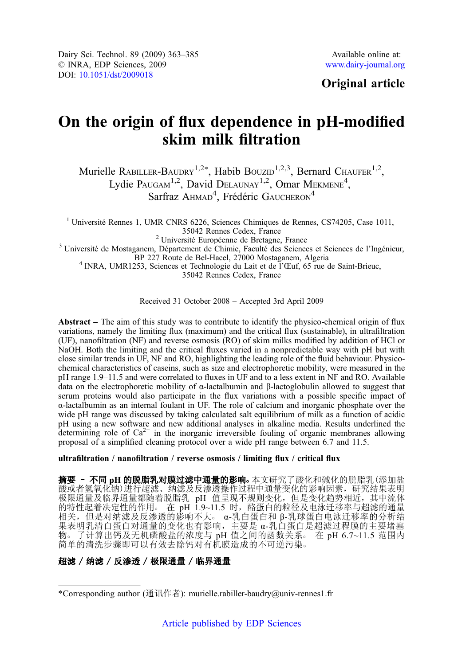## Original article

# On the origin of flux dependence in pH-modified skim milk filtration

Murielle RABILLER-BAUDRY<sup>1,2\*</sup>, Habib BOUZID<sup>1,2,3</sup>, Bernard CHAUFER<sup>1,2</sup>, Lydie PAUGAM<sup>1,2</sup>, David DELAUNAY<sup>1,2</sup>, Omar MEKMENE<sup>4</sup>, Sarfraz AHMAD<sup>4</sup>, Frédéric GAUCHERON<sup>4</sup>

<sup>1</sup> Université Rennes 1, UMR CNRS 6226, Sciences Chimiques de Rennes, CS74205, Case 1011, 35042 Rennes Cedex, France <sup>3</sup> Université Européenne de Bretagne, France <sup>2</sup> Université Européenne de Bretagne, France 3 Université de Mostaganem, Département de Chimie, Faculté des Sciences et Sciences de l'Ingénieur, BP 227 Route de Bel-Hacel, 27

<sup>4</sup> INRA, UMR1253, Sciences et Technologie du Lait et de l'Œuf, 65 rue de Saint-Brieuc,

35042 Rennes Cedex, France

Received 31 October 2008 – Accepted 3rd April 2009

Abstract – The aim of this study was to contribute to identify the physico-chemical origin of flux variations, namely the limiting flux (maximum) and the critical flux (sustainable), in ultrafiltration (UF), nanofiltration (NF) and reverse osmosis (RO) of skim milks modified by addition of HCl or NaOH. Both the limiting and the critical fluxes varied in a nonpredictable way with pH but with close similar trends in UF, NF and RO, highlighting the leading role of the fluid behaviour. Physicochemical characteristics of caseins, such as size and electrophoretic mobility, were measured in the pH range 1.9–11.5 and were correlated to fluxes in UF and to a less extent in NF and RO. Available data on the electrophoretic mobility of α-lactalbumin and β-lactoglobulin allowed to suggest that serum proteins would also participate in the flux variations with a possible specific impact of α-lactalbumin as an internal foulant in UF. The role of calcium and inorganic phosphate over the wide pH range was discussed by taking calculated salt equilibrium of milk as a function of acidic pH using a new software and new additional analyses in alkaline media. Results underlined the determining role of  $Ca^{2+}$  in the inorganic irreversible fouling of organic membranes allowing proposal of a simplified cleaning protocol over a wide pH range between 6.7 and 11.5.

## ultrafiltration / nanofiltration / reverse osmosis / limiting flux / critical flux

摘要 - 不同 pH 的脱脂乳对膜过滤中通量的影响。本文研究了酸化和碱化的脱脂乳(添加盐 酸或者氢氧化钠)进行超滤、纳滤及反渗透操作过程中通量变化的影响因素,研究结果表明 极限通量及临界通量都随着脱脂乳 pH 值呈现不规则变化,但是变化趋势相近,其中流体 的特性起着决定性的作用。 在 pH 1.9~11.5 时,酪蛋白的粒径及电泳迁移率与超滤的通量 相关, 但是对纳滤及反渗透的影响不大。 α-乳白蛋白和 β-乳球蛋白电泳迁移率的分析结 果表明乳清白蛋白对通量的变化也有影响,主要是 α-乳白蛋白是超滤过程膜的主要堵塞 物○ 了计算出钙及无机磷酸盐的浓度与 pH 值之间的函数关系○ 在 pH 6.7~11.5 范围内 简单的清洗步骤即可以有效去除钙对有机膜造成的不可逆污染。

## 超滤 / 纳滤 / 反渗透 / 极限通量 / 临界通量

<sup>\*</sup>Corresponding author (通讯作者): murielle.rabiller-baudry@univ-rennes1.fr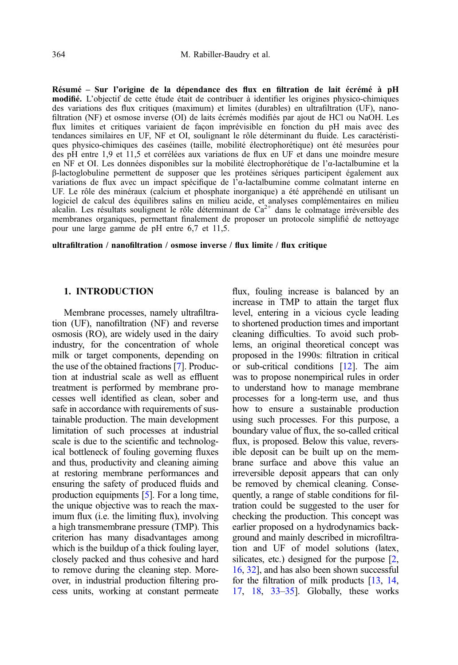Résumé – Sur l'origine de la dépendance des flux en filtration de lait écrémé à pH modifié. L'objectif de cette étude était de contribuer à identifier les origines physico-chimiques des variations des flux critiques (maximum) et limites (durables) en ultrafiltration (UF), nanofiltration (NF) et osmose inverse (OI) de laits écrémés modifiés par ajout de HCl ou NaOH. Les flux limites et critiques variaient de façon imprévisible en fonction du pH mais avec des tendances similaires en UF, NF et OI, soulignant le rôle déterminant du fluide. Les caractéristiques physico-chimiques des caséines (taille, mobilité électrophorétique) ont été mesurées pour des pH entre 1,9 et 11,5 et corrélées aux variations de flux en UF et dans une moindre mesure en NF et OI. Les données disponibles sur la mobilité électrophorétique de l'α-lactalbumine et la β-lactoglobuline permettent de supposer que les protéines sériques participent également aux variations de flux avec un impact spécifique de l'α-lactalbumine comme colmatant interne en UF. Le rôle des minéraux (calcium et phosphate inorganique) a été appréhendé en utilisant un logiciel de calcul des équilibres salins en milieu acide, et analyses complémentaires en milieu alcalin. Les résultats soulignent le rôle déterminant de  $Ca^{2+}$  dans le colmatage irréversible des membranes organiques, permettant finalement de proposer un protocole simplifié de nettoyage pour une large gamme de pH entre 6,7 et 11,5.

ultrafiltration / nanofiltration / osmose inverse / flux limite / flux critique

#### 1. INTRODUCTION

Membrane processes, namely ultrafiltration (UF), nanofiltration (NF) and reverse osmosis (RO), are widely used in the dairy industry, for the concentration of whole milk or target components, depending on the use of the obtained fractions [\[7](#page-21-0)]. Production at industrial scale as well as effluent treatment is performed by membrane processes well identified as clean, sober and safe in accordance with requirements of sustainable production. The main development limitation of such processes at industrial scale is due to the scientific and technological bottleneck of fouling governing fluxes and thus, productivity and cleaning aiming at restoring membrane performances and ensuring the safety of produced fluids and production equipments [[5\]](#page-21-0). For a long time, the unique objective was to reach the maximum flux (i.e. the limiting flux), involving a high transmembrane pressure (TMP). This criterion has many disadvantages among which is the buildup of a thick fouling layer, closely packed and thus cohesive and hard to remove during the cleaning step. Moreover, in industrial production filtering process units, working at constant permeate flux, fouling increase is balanced by an increase in TMP to attain the target flux level, entering in a vicious cycle leading to shortened production times and important cleaning difficulties. To avoid such problems, an original theoretical concept was proposed in the 1990s: filtration in critical or sub-critical conditions [\[12\]](#page-21-0). The aim was to propose nonempirical rules in order to understand how to manage membrane processes for a long-term use, and thus how to ensure a sustainable production using such processes. For this purpose, a boundary value of flux, the so-called critical flux, is proposed. Below this value, reversible deposit can be built up on the membrane surface and above this value an irreversible deposit appears that can only be removed by chemical cleaning. Consequently, a range of stable conditions for filtration could be suggested to the user for checking the production. This concept was earlier proposed on a hydrodynamics background and mainly described in microfiltration and UF of model solutions (latex, silicates, etc.) designed for the purpose [\[2](#page-21-0), [16](#page-21-0), [32\]](#page-22-0), and has also been shown successful for the filtration of milk products [\[13,](#page-21-0) [14](#page-21-0), [17](#page-21-0), [18,](#page-22-0) [33](#page-22-0)–[35](#page-22-0)]. Globally, these works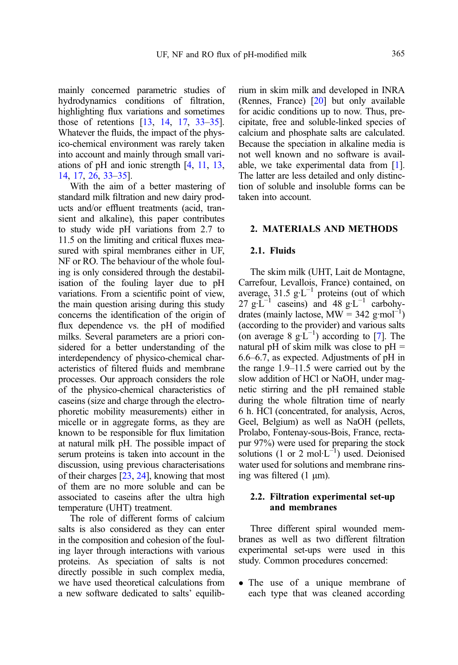mainly concerned parametric studies of hydrodynamics conditions of filtration, highlighting flux variations and sometimes those of retentions [\[13,](#page-21-0) [14,](#page-21-0) [17,](#page-21-0) [33](#page-22-0)–[35](#page-22-0)]. Whatever the fluids, the impact of the physico-chemical environment was rarely taken into account and mainly through small variations of pH and ionic strength [\[4,](#page-21-0) [11](#page-21-0), [13](#page-21-0), [14](#page-21-0), [17,](#page-21-0) [26,](#page-22-0) [33](#page-22-0)–[35\]](#page-22-0).

With the aim of a better mastering of standard milk filtration and new dairy products and/or effluent treatments (acid, transient and alkaline), this paper contributes to study wide pH variations from 2.7 to 11.5 on the limiting and critical fluxes measured with spiral membranes either in UF, NF or RO. The behaviour of the whole fouling is only considered through the destabilisation of the fouling layer due to pH variations. From a scientific point of view, the main question arising during this study concerns the identification of the origin of flux dependence vs. the pH of modified milks. Several parameters are a priori considered for a better understanding of the interdependency of physico-chemical characteristics of filtered fluids and membrane processes. Our approach considers the role of the physico-chemical characteristics of caseins (size and charge through the electrophoretic mobility measurements) either in micelle or in aggregate forms, as they are known to be responsible for flux limitation at natural milk pH. The possible impact of serum proteins is taken into account in the discussion, using previous characterisations of their charges [\[23,](#page-22-0) [24](#page-22-0)], knowing that most of them are no more soluble and can be associated to caseins after the ultra high temperature (UHT) treatment.

The role of different forms of calcium salts is also considered as they can enter in the composition and cohesion of the fouling layer through interactions with various proteins. As speciation of salts is not directly possible in such complex media, we have used theoretical calculations from a new software dedicated to salts' equilibrium in skim milk and developed in INRA (Rennes, France) [[20](#page-22-0)] but only available for acidic conditions up to now. Thus, precipitate, free and soluble-linked species of calcium and phosphate salts are calculated. Because the speciation in alkaline media is not well known and no software is available, we take experimental data from [\[1](#page-21-0)]. The latter are less detailed and only distinction of soluble and insoluble forms can be taken into account.

#### 2. MATERIALS AND METHODS

#### 2.1. Fluids

The skim milk (UHT, Lait de Montagne, Carrefour, Levallois, France) contained, on average,  $31.5 \text{ g} \cdot \text{L}^{-1}$  proteins (out of which  $27 \text{ g} \cdot \text{L}^{-1}$  caseins) and 48 g·L<sup>-1</sup> carbohydrates (mainly lactose, MW = 342 g·mol<sup>-1</sup>) (according to the provider) and various salts (on average 8 g⋅L<sup>-1</sup>) according to [[7\]](#page-21-0). The natural pH of skim milk was close to  $pH =$ 6.6–6.7, as expected. Adjustments of pH in the range 1.9–11.5 were carried out by the slow addition of HCl or NaOH, under magnetic stirring and the pH remained stable during the whole filtration time of nearly 6 h. HCl (concentrated, for analysis, Acros, Geel, Belgium) as well as NaOH (pellets, Prolabo, Fontenay-sous-Bois, France, rectapur 97%) were used for preparing the stock solutions  $(1 \text{ or } 2 \text{ mol·L}^{-1})$  used. Deionised water used for solutions and membrane rinsing was filtered (1 μm).

## 2.2. Filtration experimental set-up and membranes

Three different spiral wounded membranes as well as two different filtration experimental set-ups were used in this study. Common procedures concerned:

• The use of a unique membrane of each type that was cleaned according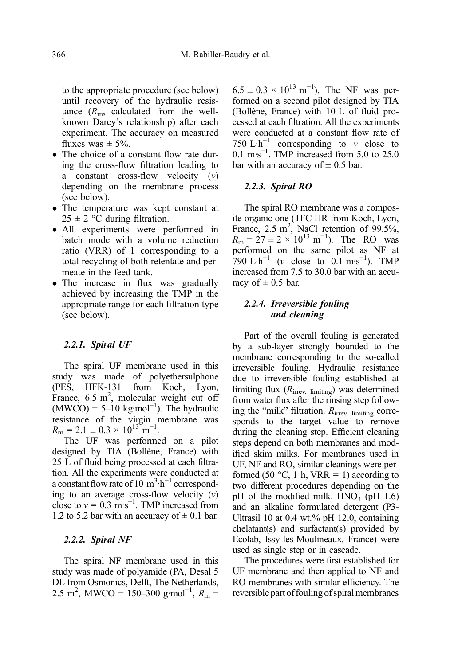to the appropriate procedure (see below) until recovery of the hydraulic resistance  $(R<sub>m</sub>$ , calculated from the wellknown Darcy's relationship) after each experiment. The accuracy on measured fluxes was  $\pm$  5%.

- The choice of a constant flow rate during the cross-flow filtration leading to a constant cross-flow velocity (v) depending on the membrane process (see below).
- The temperature was kept constant at  $25 \pm 2$  °C during filtration.
- All experiments were performed in batch mode with a volume reduction ratio (VRR) of 1 corresponding to a total recycling of both retentate and permeate in the feed tank.
- The increase in flux was gradually achieved by increasing the TMP in the appropriate range for each filtration type (see below).

#### 2.2.1. Spiral UF

The spiral UF membrane used in this study was made of polyethersulphone (PES, HFK-131 from Koch, Lyon, France,  $6.5 \text{ m}^2$ , molecular weight cut off  $(MWCO) = 5–10 \text{ kg} \cdot \text{mol}^{-1}$ ). The hydraulic resistance of the virgin membrane was  $R_{\rm m} = 2.1 \pm 0.3 \times 10^{13} \text{ m}^{-1}.$ 

The UF was performed on a pilot designed by TIA (Bollène, France) with 25 L of fluid being processed at each filtration. All the experiments were conducted at a constant flow rate of 10  $\text{m}^3 \cdot \text{h}^{-1}$  corresponding to an average cross-flow velocity  $(v)$ close to  $v = 0.3 \text{ m} \cdot \text{s}^{-1}$ . TMP increased from 1.2 to 5.2 bar with an accuracy of  $\pm$  0.1 bar.

#### 2.2.2. Spiral NF

The spiral NF membrane used in this study was made of polyamide (PA, Desal 5 DL from Osmonics, Delft, The Netherlands, 2.5 m<sup>2</sup>, MWCO = 150–300 g·mol<sup>-1</sup>,  $R_m$  =

 $6.5 \pm 0.3 \times 10^{13} \text{ m}^{-1}$ ). The NF was performed on a second pilot designed by TIA (Bollène, France) with 10 L of fluid processed at each filtration. All the experiments were conducted at a constant flow rate of 750 L·h<sup>-1</sup> corresponding to v close to 0.1 m·s−<sup>1</sup> . TMP increased from 5.0 to 25.0 bar with an accuracy of  $\pm$  0.5 bar.

#### 2.2.3. Spiral RO

The spiral RO membrane was a composite organic one (TFC HR from Koch, Lyon, France,  $2.5 \text{ m}^2$ , NaCl retention of 99.5%,  $R_{\rm m} = 27 \pm 2 \times 10^{13} \text{ m}^{-1}$ ). The RO was performed on the same pilot as NF at  $790 \text{ L} \cdot \text{h}^{-1}$  (v close to 0.1 m·s<sup>-1</sup>). TMP increased from 7.5 to 30.0 bar with an accuracy of  $\pm$  0.5 bar.

## 2.2.4. Irreversible fouling and cleaning

Part of the overall fouling is generated by a sub-layer strongly bounded to the membrane corresponding to the so-called irreversible fouling. Hydraulic resistance due to irreversible fouling established at limiting flux (Rirrev. limiting) was determined from water flux after the rinsing step following the "milk" filtration.  $R_{\text{irrev. limiting}}$  corresponds to the target value to remove during the cleaning step. Efficient cleaning steps depend on both membranes and modified skim milks. For membranes used in UF, NF and RO, similar cleanings were performed (50 °C, 1 h, VRR = 1) according to two different procedures depending on the pH of the modified milk.  $HNO<sub>3</sub>$  (pH 1.6) and an alkaline formulated detergent (P3- Ultrasil 10 at 0.4 wt.% pH 12.0, containing chelatant(s) and surfactant(s) provided by Ecolab, Issy-les-Moulineaux, France) were used as single step or in cascade.

The procedures were first established for UF membrane and then applied to NF and RO membranes with similar efficiency. The reversible part of fouling of spiral membranes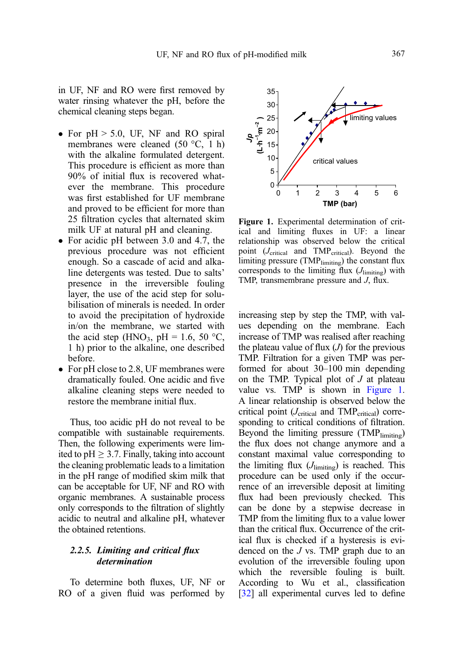in UF, NF and RO were first removed by water rinsing whatever the pH, before the chemical cleaning steps began.

- For  $pH > 5.0$ , UF, NF and RO spiral membranes were cleaned (50 °C, 1 h) with the alkaline formulated detergent. This procedure is efficient as more than 90% of initial flux is recovered whatever the membrane. This procedure was first established for UF membrane and proved to be efficient for more than 25 filtration cycles that alternated skim milk UF at natural pH and cleaning.
- For acidic pH between 3.0 and 4.7, the previous procedure was not efficient enough. So a cascade of acid and alkaline detergents was tested. Due to salts' presence in the irreversible fouling layer, the use of the acid step for solubilisation of minerals is needed. In order to avoid the precipitation of hydroxide in/on the membrane, we started with the acid step (HNO<sub>3</sub>, pH = 1.6, 50 °C, 1 h) prior to the alkaline, one described before.
- For pH close to 2.8, UF membranes were dramatically fouled. One acidic and five alkaline cleaning steps were needed to restore the membrane initial flux.

Thus, too acidic pH do not reveal to be compatible with sustainable requirements. Then, the following experiments were limited to  $pH \geq 3.7$ . Finally, taking into account the cleaning problematic leads to a limitation in the pH range of modified skim milk that can be acceptable for UF, NF and RO with organic membranes. A sustainable process only corresponds to the filtration of slightly acidic to neutral and alkaline pH, whatever the obtained retentions.

## 2.2.5. Limiting and critical flux determination

To determine both fluxes, UF, NF or RO of a given fluid was performed by



Figure 1. Experimental determination of critical and limiting fluxes in UF: a linear relationship was observed below the critical point  $(J_{critical}$  and TMP<sub>critical</sub>). Beyond the limiting pressure  $\text{(TMP}_{\text{limiting}})$  the constant flux corresponds to the limiting flux  $(J<sub>limiting</sub>)$  with TMP, transmembrane pressure and *J*, flux.

increasing step by step the TMP, with values depending on the membrane. Each increase of TMP was realised after reaching the plateau value of flux  $(J)$  for the previous TMP. Filtration for a given TMP was performed for about 30–100 min depending on the TMP. Typical plot of  $J$  at plateau value vs. TMP is shown in Figure 1. A linear relationship is observed below the critical point  $(J_{critical}$  and TMP<sub>critical</sub>) corresponding to critical conditions of filtration. Beyond the limiting pressure  $(TMP_{limiting})$ the flux does not change anymore and a constant maximal value corresponding to the limiting flux  $(J<sub>limiting</sub>)$  is reached. This procedure can be used only if the occurrence of an irreversible deposit at limiting flux had been previously checked. This can be done by a stepwise decrease in TMP from the limiting flux to a value lower than the critical flux. Occurrence of the critical flux is checked if a hysteresis is evidenced on the  $J$  vs. TMP graph due to an evolution of the irreversible fouling upon which the reversible fouling is built. According to Wu et al., classification [[32\]](#page-22-0) all experimental curves led to define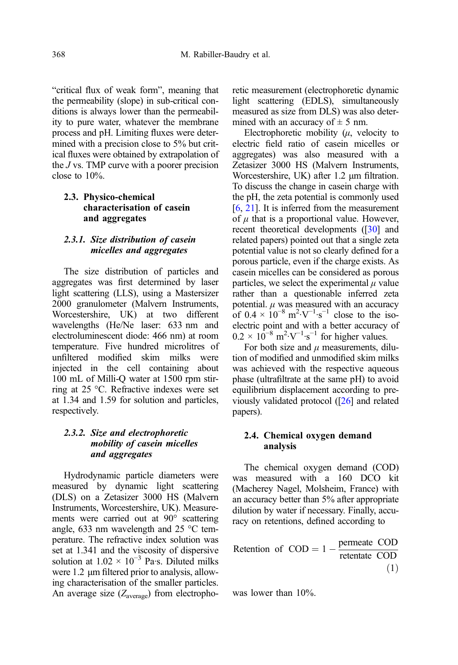"critical flux of weak form", meaning that the permeability (slope) in sub-critical conditions is always lower than the permeability to pure water, whatever the membrane process and pH. Limiting fluxes were determined with a precision close to 5% but critical fluxes were obtained by extrapolation of the  $J$  vs. TMP curve with a poorer precision close to 10%.

## 2.3. Physico-chemical characterisation of casein and aggregates

## 2.3.1. Size distribution of casein micelles and aggregates

The size distribution of particles and aggregates was first determined by laser light scattering (LLS), using a Mastersizer 2000 granulometer (Malvern Instruments, Worcestershire, UK) at two different wavelengths (He/Ne laser: 633 nm and electroluminescent diode: 466 nm) at room temperature. Five hundred microlitres of unfiltered modified skim milks were injected in the cell containing about 100 mL of Milli-Q water at 1500 rpm stirring at 25 °C. Refractive indexes were set at 1.34 and 1.59 for solution and particles, respectively.

## 2.3.2. Size and electrophoretic mobility of casein micelles and aggregates

Hydrodynamic particle diameters were measured by dynamic light scattering (DLS) on a Zetasizer 3000 HS (Malvern Instruments, Worcestershire, UK). Measurements were carried out at 90° scattering angle, 633 nm wavelength and 25 °C temperature. The refractive index solution was set at 1.341 and the viscosity of dispersive solution at  $1.02 \times 10^{-3}$  Pa·s. Diluted milks were 1.2 μm filtered prior to analysis, allowing characterisation of the smaller particles. An average size  $(Z_{\text{average}})$  from electrophoretic measurement (electrophoretic dynamic light scattering (EDLS), simultaneously measured as size from DLS) was also determined with an accuracy of  $\pm$  5 nm.

Electrophoretic mobility  $(\mu)$ , velocity to electric field ratio of casein micelles or aggregates) was also measured with a Zetasizer 3000 HS (Malvern Instruments, Worcestershire, UK) after 1.2 μm filtration. To discuss the change in casein charge with the pH, the zeta potential is commonly used [[6](#page-21-0), [21\]](#page-22-0). It is inferred from the measurement of  $\mu$  that is a proportional value. However, recent theoretical developments ([[30](#page-22-0)] and related papers) pointed out that a single zeta potential value is not so clearly defined for a porous particle, even if the charge exists. As casein micelles can be considered as porous particles, we select the experimental  $\mu$  value rather than a questionable inferred zeta potential.  $\mu$  was measured with an accuracy of  $0.4 \times 10^{-8}$  m<sup>2</sup> $\cdot$ V<sup>-1</sup> $\cdot$ s<sup>-1</sup> close to the isoelectric point and with a better accuracy of  $0.2 \times 10^{-8}$  m<sup>2</sup>⋅V<sup>-1</sup>⋅s<sup>-1</sup> for higher values.

For both size and  $\mu$  measurements, dilution of modified and unmodified skim milks was achieved with the respective aqueous phase (ultrafiltrate at the same pH) to avoid equilibrium displacement according to previously validated protocol ([\[26](#page-22-0)] and related papers).

#### 2.4. Chemical oxygen demand analysis

The chemical oxygen demand (COD) was measured with a 160 DCO kit (Macherey Nagel, Molsheim, France) with an accuracy better than 5% after appropriate dilution by water if necessary. Finally, accuracy on retentions, defined according to

$$
Retention of COD = 1 - \frac{pemaeate COD}{retentate COD}
$$
\n(1)

was lower than 10%.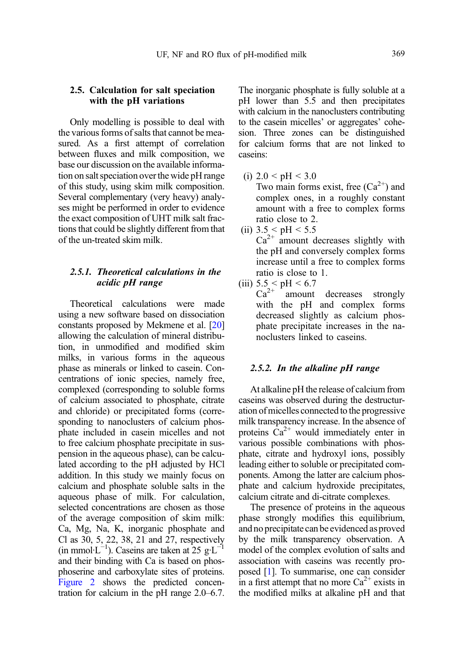Only modelling is possible to deal with the various forms of salts that cannot be measured. As a first attempt of correlation between fluxes and milk composition, we base our discussion on the available information on salt speciation over the wide pH range of this study, using skim milk composition. Several complementary (very heavy) analyses might be performed in order to evidence the exact composition of UHT milk salt fractions that could be slightly different from that of the un-treated skim milk.

## 2.5.1. Theoretical calculations in the acidic pH range

Theoretical calculations were made using a new software based on dissociation constants proposed by Mekmene et al. [[20](#page-22-0)] allowing the calculation of mineral distribution, in unmodified and modified skim milks, in various forms in the aqueous phase as minerals or linked to casein. Concentrations of ionic species, namely free, complexed (corresponding to soluble forms of calcium associated to phosphate, citrate and chloride) or precipitated forms (corresponding to nanoclusters of calcium phosphate included in casein micelles and not to free calcium phosphate precipitate in suspension in the aqueous phase), can be calculated according to the pH adjusted by HCl addition. In this study we mainly focus on calcium and phosphate soluble salts in the aqueous phase of milk. For calculation, selected concentrations are chosen as those of the average composition of skim milk: Ca, Mg, Na, K, inorganic phosphate and Cl as 30, 5, 22, 38, 21 and 27, respectively (in mmol $^{\circ}$ L<sup>-1</sup>). Caseins are taken at 25 g·L<sup>-1</sup> and their binding with Ca is based on phosphoserine and carboxylate sites of proteins. [Figure 2](#page-7-0) shows the predicted concentration for calcium in the pH range 2.0–6.7. The inorganic phosphate is fully soluble at a pH lower than 5.5 and then precipitates with calcium in the nanoclusters contributing to the casein micelles' or aggregates' cohesion. Three zones can be distinguished for calcium forms that are not linked to caseins:

(i)  $2.0 < pH < 3.0$ 

Two main forms exist, free  $(Ca^{2+})$  and complex ones, in a roughly constant amount with a free to complex forms ratio close to 2.

- (ii)  $3.5 < pH < 5.5$  $Ca<sup>2+</sup>$  amount decreases slightly with the pH and conversely complex forms increase until a free to complex forms ratio is close to 1.
- (iii)  $5.5 < pH < 6.7$ <br>Ca<sup>2+</sup> amount

amount decreases strongly with the pH and complex forms decreased slightly as calcium phosphate precipitate increases in the nanoclusters linked to caseins.

#### 2.5.2. In the alkaline pH range

At alkaline pH the release of calcium from caseins was observed during the destructuration of micelles connected to the progressive milk transparency increase. In the absence of proteins  $\tilde{C}a^{2+}$  would immediately enter in various possible combinations with phosphate, citrate and hydroxyl ions, possibly leading either to soluble or precipitated components. Among the latter are calcium phosphate and calcium hydroxide precipitates, calcium citrate and di-citrate complexes.

The presence of proteins in the aqueous phase strongly modifies this equilibrium, and no precipitate can be evidenced as proved by the milk transparency observation. A model of the complex evolution of salts and association with caseins was recently proposed [[1\]](#page-21-0). To summarise, one can consider in a first attempt that no more  $Ca^{2+}$  exists in the modified milks at alkaline pH and that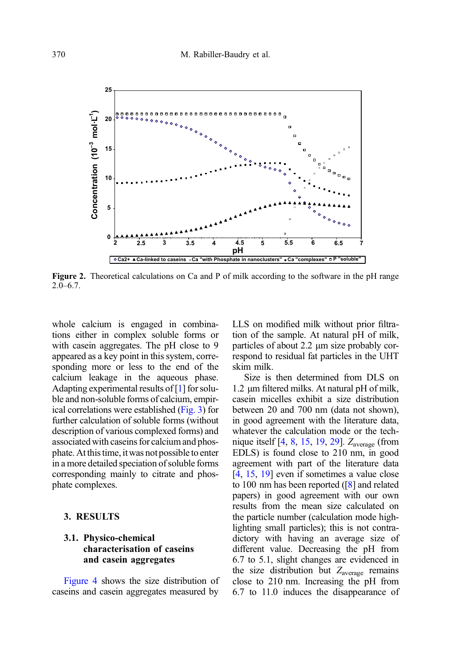<span id="page-7-0"></span>

Figure 2. Theoretical calculations on Ca and P of milk according to the software in the pH range  $2.0 - 6.7$ .

whole calcium is engaged in combinations either in complex soluble forms or with casein aggregates. The pH close to 9 appeared as a key point in this system, corresponding more or less to the end of the calcium leakage in the aqueous phase. Adapting experimental results of  $[1]$  $[1]$  for soluble and non-soluble forms of calcium, empirical correlations were established ([Fig. 3\)](#page-8-0) for further calculation of soluble forms (without description of various complexed forms) and associated with caseins for calcium and phosphate. At this time, it was not possible to enter in a more detailed speciation of soluble forms corresponding mainly to citrate and phosphate complexes.

## 3. RESULTS

## 3.1. Physico-chemical characterisation of caseins and casein aggregates

[Figure 4](#page-9-0) shows the size distribution of caseins and casein aggregates measured by LLS on modified milk without prior filtration of the sample. At natural pH of milk, particles of about 2.2 μm size probably correspond to residual fat particles in the UHT skim milk.

Size is then determined from DLS on 1.2 μm filtered milks. At natural pH of milk, casein micelles exhibit a size distribution between 20 and 700 nm (data not shown), in good agreement with the literature data, whatever the calculation mode or the technique itself [[4,](#page-21-0) [8,](#page-21-0) [15,](#page-21-0) [19,](#page-22-0) [29](#page-22-0)]. Zaverage (from EDLS) is found close to 210 nm, in good agreement with part of the literature data [[4](#page-21-0), [15,](#page-21-0) [19\]](#page-22-0) even if sometimes a value close to 100 nm has been reported ([\[8](#page-21-0)] and related papers) in good agreement with our own results from the mean size calculated on the particle number (calculation mode highlighting small particles); this is not contradictory with having an average size of different value. Decreasing the pH from 6.7 to 5.1, slight changes are evidenced in the size distribution but  $Z_{\text{average}}$  remains close to 210 nm. Increasing the pH from 6.7 to 11.0 induces the disappearance of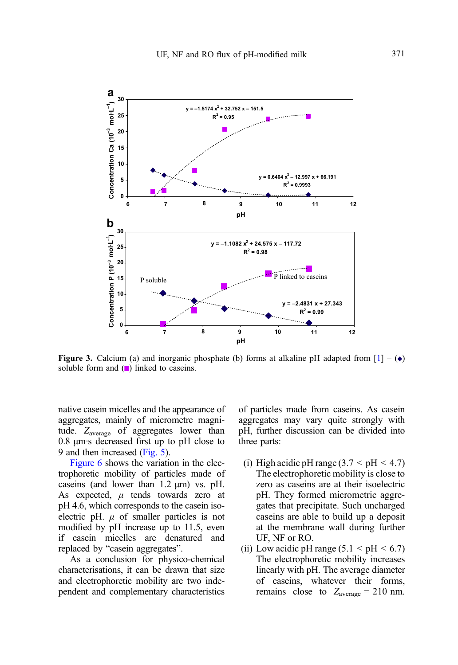<span id="page-8-0"></span>

**Figure 3.** Calcium (a) and inorganic phosphate (b) forms at alkaline pH adapted from  $[1] - (*)$  $[1] - (*)$  $[1] - (*)$ soluble form and  $($ ) linked to caseins.

native casein micelles and the appearance of aggregates, mainly of micrometre magnitude.  $Z_{\text{average}}$  of aggregates lower than 0.8 μm·s decreased first up to pH close to 9 and then increased ([Fig. 5\)](#page-10-0).

[Figure 6](#page-10-0) shows the variation in the electrophoretic mobility of particles made of caseins (and lower than 1.2 μm) vs. pH. As expected,  $\mu$  tends towards zero at pH 4.6, which corresponds to the casein isoelectric pH.  $\mu$  of smaller particles is not modified by pH increase up to 11.5, even if casein micelles are denatured and replaced by "casein aggregates".

As a conclusion for physico-chemical characterisations, it can be drawn that size and electrophoretic mobility are two independent and complementary characteristics

of particles made from caseins. As casein aggregates may vary quite strongly with pH, further discussion can be divided into three parts:

- (i) High acidic pH range  $(3.7 < pH < 4.7)$ The electrophoretic mobility is close to zero as caseins are at their isoelectric pH. They formed micrometric aggregates that precipitate. Such uncharged caseins are able to build up a deposit at the membrane wall during further UF, NF or RO.
- (ii) Low acidic pH range  $(5.1 < pH < 6.7)$ The electrophoretic mobility increases linearly with pH. The average diameter of caseins, whatever their forms, remains close to  $Z_{\text{average}} = 210 \text{ nm}$ .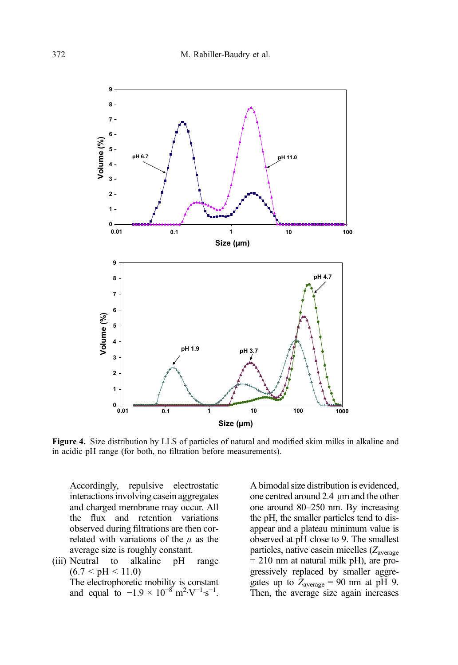<span id="page-9-0"></span>

Figure 4. Size distribution by LLS of particles of natural and modified skim milks in alkaline and in acidic pH range (for both, no filtration before measurements).

Accordingly, repulsive electrostatic interactions involving casein aggregates and charged membrane may occur. All the flux and retention variations observed during filtrations are then correlated with variations of the  $\mu$  as the average size is roughly constant.

(iii) Neutral to alkaline pH range  $(6.7 < pH < 11.0)$ The electrophoretic mobility is constant and equal to  $-1.9 \times 10^{-8} \text{ m}^2 \cdot \text{V}^{-1} \cdot \text{s}^{-1}$ .

A bimodal size distribution is evidenced, one centred around 2.4 μm and the other one around 80–250 nm. By increasing the pH, the smaller particles tend to disappear and a plateau minimum value is observed at pH close to 9. The smallest particles, native casein micelles  $(Z_{\text{average}})$ = 210 nm at natural milk pH), are progressively replaced by smaller aggregates up to  $Z_{\text{average}} = 90 \text{ nm}$  at pH 9. Then, the average size again increases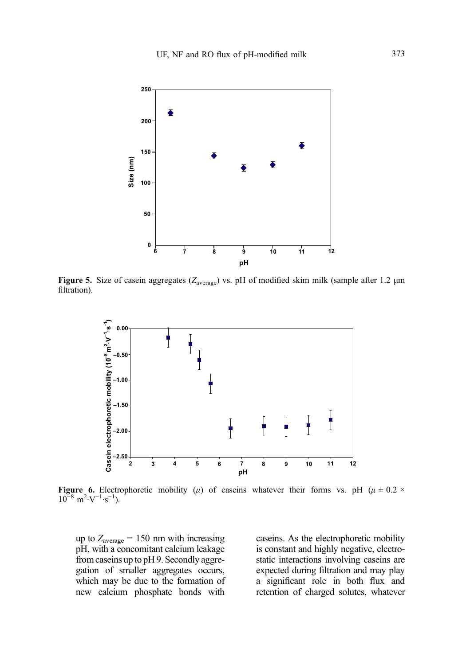<span id="page-10-0"></span>

Figure 5. Size of casein aggregates ( $Z_{\text{average}}$ ) vs. pH of modified skim milk (sample after 1.2 µm filtration).



Figure 6. Electrophoretic mobility (μ) of caseins whatever their forms vs. pH ( $\mu \pm 0.2 \times$  $10^{-8}$  m<sup>2</sup> $\cdot$ V<sup>-1</sup> $\cdot$ s<sup>-1</sup>).

up to  $Z_{\text{average}} = 150 \text{ nm}$  with increasing pH, with a concomitant calcium leakage from caseins up to pH 9. Secondly aggregation of smaller aggregates occurs, which may be due to the formation of new calcium phosphate bonds with

caseins. As the electrophoretic mobility is constant and highly negative, electrostatic interactions involving caseins are expected during filtration and may play a significant role in both flux and retention of charged solutes, whatever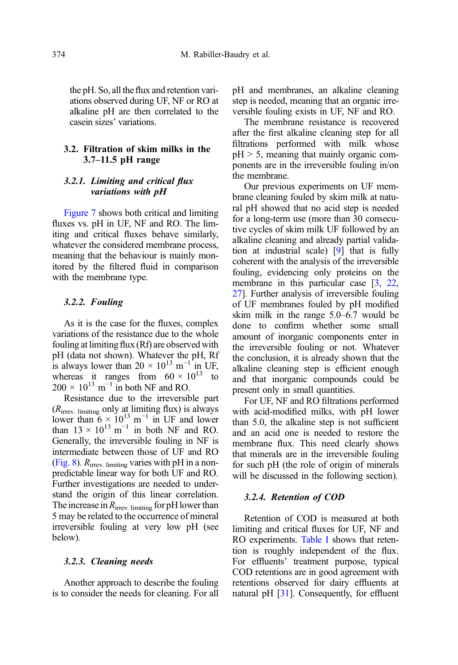the pH. So, all the flux and retention variations observed during UF, NF or RO at alkaline pH are then correlated to the casein sizes' variations.

## 3.2. Filtration of skim milks in the 3.7–11.5 pH range

## 3.2.1. Limiting and critical flux variations with pH

[Figure 7](#page-12-0) shows both critical and limiting fluxes vs. pH in UF, NF and RO. The limiting and critical fluxes behave similarly, whatever the considered membrane process, meaning that the behaviour is mainly monitored by the filtered fluid in comparison with the membrane type.

#### 3.2.2. Fouling

As it is the case for the fluxes, complex variations of the resistance due to the whole fouling at limiting flux (Rf) are observed with pH (data not shown). Whatever the pH, Rf is always lower than  $20 \times 10^{13}$  m<sup>-1</sup> in UF, whereas it ranges from  $60 \times 10^{13}$  to  $200 \times 10^{13}$  m<sup>-1</sup> in both NF and RO.

Resistance due to the irreversible part  $(R<sub>irrev. limiting</sub> only at limiting flux) is always$ lower than  $6 \times 10^{13}$  m<sup>-1</sup> in UF and lower than  $13 \times 10^{13}$  m<sup>-1</sup> in both NF and RO. Generally, the irreversible fouling in NF is intermediate between those of UF and RO [\(Fig. 8](#page-13-0)). Rirrev. limiting varies with pH in a nonpredictable linear way for both UF and RO. Further investigations are needed to understand the origin of this linear correlation. The increase in  $R_{\text{irrev.}$  limiting for pH lower than 5 may be related to the occurrence of mineral irreversible fouling at very low pH (see below).

## 3.2.3. Cleaning needs

Another approach to describe the fouling is to consider the needs for cleaning. For all pH and membranes, an alkaline cleaning step is needed, meaning that an organic irreversible fouling exists in UF, NF and RO.

The membrane resistance is recovered after the first alkaline cleaning step for all filtrations performed with milk whose pH > 5, meaning that mainly organic components are in the irreversible fouling in/on the membrane.

Our previous experiments on UF membrane cleaning fouled by skim milk at natural pH showed that no acid step is needed for a long-term use (more than 30 consecutive cycles of skim milk UF followed by an alkaline cleaning and already partial validation at industrial scale) [[9](#page-21-0)] that is fully coherent with the analysis of the irreversible fouling, evidencing only proteins on the membrane in this particular case [[3](#page-21-0), [22](#page-22-0), [27](#page-22-0)]. Further analysis of irreversible fouling of UF membranes fouled by pH modified skim milk in the range 5.0–6.7 would be done to confirm whether some small amount of inorganic components enter in the irreversible fouling or not. Whatever the conclusion, it is already shown that the alkaline cleaning step is efficient enough and that inorganic compounds could be present only in small quantities.

For UF, NF and RO filtrations performed with acid-modified milks, with pH lower than 5.0, the alkaline step is not sufficient and an acid one is needed to restore the membrane flux. This need clearly shows that minerals are in the irreversible fouling for such pH (the role of origin of minerals will be discussed in the following section).

## 3.2.4. Retention of COD

Retention of COD is measured at both limiting and critical fluxes for UF, NF and RO experiments. [Table I](#page-13-0) shows that retention is roughly independent of the flux. For effluents' treatment purpose, typical COD retentions are in good agreement with retentions observed for dairy effluents at natural pH [\[31](#page-22-0)]. Consequently, for effluent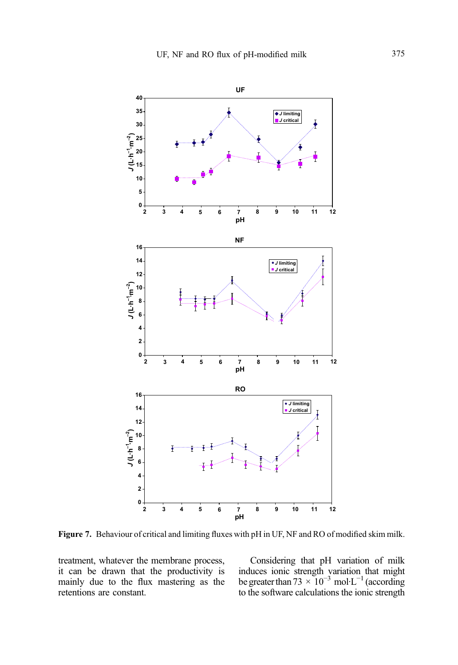<span id="page-12-0"></span>

Figure 7. Behaviour of critical and limiting fluxes with pH in UF, NF and RO of modified skim milk.

treatment, whatever the membrane process, it can be drawn that the productivity is mainly due to the flux mastering as the retentions are constant.

Considering that pH variation of milk induces ionic strength variation that might be greater than  $73 \times 10^{-3}$  mol·L<sup>-1</sup> (according to the software calculations the ionic strength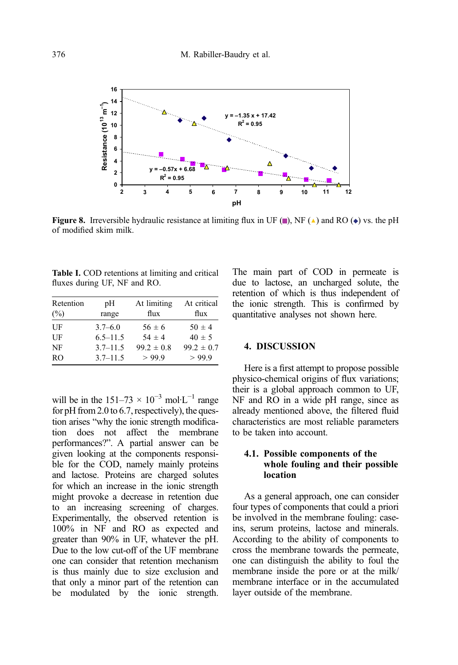<span id="page-13-0"></span>

Figure 8. Irreversible hydraulic resistance at limiting flux in UF  $(\blacksquare)$ , NF  $(\blacktriangle)$  and RO  $(\blacklozenge)$  vs. the pH of modified skim milk.

| <b>Table I.</b> COD retentions at limiting and critical |  |
|---------------------------------------------------------|--|
| fluxes during UF, NF and RO.                            |  |

| Retention<br>$(\%)$ | pH<br>range  | At limiting<br>flux | At critical<br>flux |
|---------------------|--------------|---------------------|---------------------|
| UF                  | $3.7 - 6.0$  | $56 \pm 6$          | $50 \pm 4$          |
| UF                  | $6.5 - 11.5$ | $54 \pm 4$          | $40 \pm 5$          |
| NF                  | $3.7 - 11.5$ | $99.2 \pm 0.8$      | $99.2 \pm 0.7$      |
| R <sub>O</sub>      | $3.7 - 11.5$ | > 99.9              | > 99.9              |

will be in the 151–73  $\times$  10<sup>-3</sup> mol·L<sup>-1</sup> range for pH from 2.0 to 6.7, respectively), the question arises "why the ionic strength modification does not affect the membrane performances?". A partial answer can be given looking at the components responsible for the COD, namely mainly proteins and lactose. Proteins are charged solutes for which an increase in the ionic strength might provoke a decrease in retention due to an increasing screening of charges. Experimentally, the observed retention is 100% in NF and RO as expected and greater than 90% in UF, whatever the pH. Due to the low cut-off of the UF membrane one can consider that retention mechanism is thus mainly due to size exclusion and that only a minor part of the retention can be modulated by the ionic strength. The main part of COD in permeate is due to lactose, an uncharged solute, the retention of which is thus independent of the ionic strength. This is confirmed by quantitative analyses not shown here.

#### 4. DISCUSSION

Here is a first attempt to propose possible physico-chemical origins of flux variations; their is a global approach common to UF, NF and RO in a wide pH range, since as already mentioned above, the filtered fluid characteristics are most reliable parameters to be taken into account.

## 4.1. Possible components of the whole fouling and their possible location

As a general approach, one can consider four types of components that could a priori be involved in the membrane fouling: caseins, serum proteins, lactose and minerals. According to the ability of components to cross the membrane towards the permeate, one can distinguish the ability to foul the membrane inside the pore or at the milk/ membrane interface or in the accumulated layer outside of the membrane.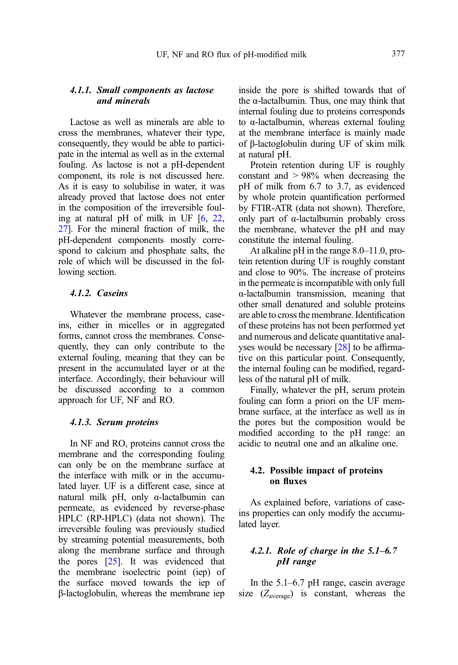#### 4.1.1. Small components as lactose and minerals

Lactose as well as minerals are able to cross the membranes, whatever their type, consequently, they would be able to participate in the internal as well as in the external fouling. As lactose is not a pH-dependent component, its role is not discussed here. As it is easy to solubilise in water, it was already proved that lactose does not enter in the composition of the irreversible fouling at natural pH of milk in UF [\[6](#page-21-0), [22](#page-22-0), [27](#page-22-0)]. For the mineral fraction of milk, the pH-dependent components mostly correspond to calcium and phosphate salts, the role of which will be discussed in the following section.

## 4.1.2. Caseins

Whatever the membrane process, caseins, either in micelles or in aggregated forms, cannot cross the membranes. Consequently, they can only contribute to the external fouling, meaning that they can be present in the accumulated layer or at the interface. Accordingly, their behaviour will be discussed according to a common approach for UF, NF and RO.

#### 4.1.3. Serum proteins

In NF and RO, proteins cannot cross the membrane and the corresponding fouling can only be on the membrane surface at the interface with milk or in the accumulated layer. UF is a different case, since at natural milk pH, only α-lactalbumin can permeate, as evidenced by reverse-phase HPLC (RP-HPLC) (data not shown). The irreversible fouling was previously studied by streaming potential measurements, both along the membrane surface and through the pores [\[25\]](#page-22-0). It was evidenced that the membrane isoelectric point (iep) of the surface moved towards the iep of β-lactoglobulin, whereas the membrane iep inside the pore is shifted towards that of the α-lactalbumin. Thus, one may think that internal fouling due to proteins corresponds to α-lactalbumin, whereas external fouling at the membrane interface is mainly made of β-lactoglobulin during UF of skim milk at natural pH.

Protein retention during UF is roughly constant and  $> 98\%$  when decreasing the pH of milk from 6.7 to 3.7, as evidenced by whole protein quantification performed by FTIR-ATR (data not shown). Therefore, only part of  $α$ -lactalbumin probably cross the membrane, whatever the pH and may constitute the internal fouling.

At alkaline pH in the range 8.0–11.0, protein retention during UF is roughly constant and close to 90%. The increase of proteins in the permeate is incompatible with only full α-lactalbumin transmission, meaning that other small denatured and soluble proteins are able to cross the membrane. Identification of these proteins has not been performed yet and numerous and delicate quantitative analyses would be necessary [\[28\]](#page-22-0) to be affirmative on this particular point. Consequently, the internal fouling can be modified, regardless of the natural pH of milk.

Finally, whatever the pH, serum protein fouling can form a priori on the UF membrane surface, at the interface as well as in the pores but the composition would be modified according to the pH range: an acidic to neutral one and an alkaline one.

## 4.2. Possible impact of proteins on fluxes

As explained before, variations of caseins properties can only modify the accumulated layer.

## 4.2.1. Role of charge in the 5.1–6.7 pH range

In the 5.1–6.7 pH range, casein average size  $(Z_{\text{average}})$  is constant, whereas the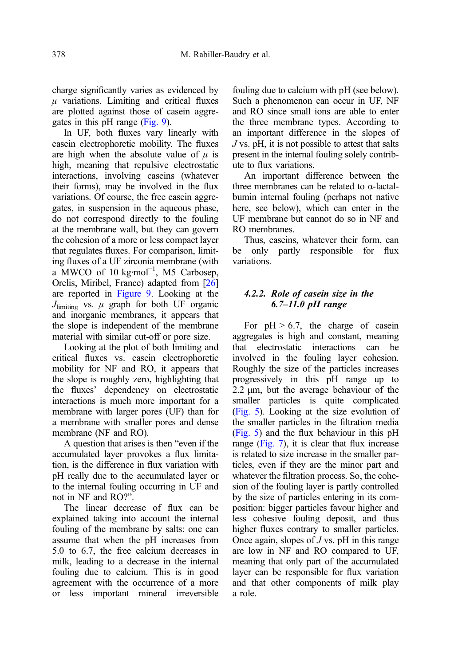charge significantly varies as evidenced by  $\mu$  variations. Limiting and critical fluxes are plotted against those of casein aggregates in this pH range ([Fig. 9](#page-16-0)).

In UF, both fluxes vary linearly with casein electrophoretic mobility. The fluxes are high when the absolute value of  $\mu$  is high, meaning that repulsive electrostatic interactions, involving caseins (whatever their forms), may be involved in the flux variations. Of course, the free casein aggregates, in suspension in the aqueous phase, do not correspond directly to the fouling at the membrane wall, but they can govern the cohesion of a more or less compact layer that regulates fluxes. For comparison, limiting fluxes of a UF zirconia membrane (with a MWCO of 10 kg·mol<sup>-1</sup>, M5 Carbosep, Orelis, Miribel, France) adapted from [\[26](#page-22-0)] are reported in [Figure 9](#page-16-0). Looking at the  $J_{\text{limiting}}$  vs.  $\mu$  graph for both UF organic and inorganic membranes, it appears that the slope is independent of the membrane material with similar cut-off or pore size.

Looking at the plot of both limiting and critical fluxes vs. casein electrophoretic mobility for NF and RO, it appears that the slope is roughly zero, highlighting that the fluxes' dependency on electrostatic interactions is much more important for a membrane with larger pores (UF) than for a membrane with smaller pores and dense membrane (NF and RO).

A question that arises is then "even if the accumulated layer provokes a flux limitation, is the difference in flux variation with pH really due to the accumulated layer or to the internal fouling occurring in UF and not in NF and RO?".

The linear decrease of flux can be explained taking into account the internal fouling of the membrane by salts: one can assume that when the pH increases from 5.0 to 6.7, the free calcium decreases in milk, leading to a decrease in the internal fouling due to calcium. This is in good agreement with the occurrence of a more or less important mineral irreversible fouling due to calcium with pH (see below). Such a phenomenon can occur in UF, NF and RO since small ions are able to enter the three membrane types. According to an important difference in the slopes of  $J$  vs. pH, it is not possible to attest that salts present in the internal fouling solely contribute to flux variations.

An important difference between the three membranes can be related to α-lactalbumin internal fouling (perhaps not native here, see below), which can enter in the UF membrane but cannot do so in NF and RO membranes.

Thus, caseins, whatever their form, can be only partly responsible for flux variations.

## 4.2.2. Role of casein size in the 6.7–11.0 pH range

For  $pH > 6.7$ , the charge of casein aggregates is high and constant, meaning that electrostatic interactions can be involved in the fouling layer cohesion. Roughly the size of the particles increases progressively in this pH range up to 2.2 μm, but the average behaviour of the smaller particles is quite complicated ([Fig. 5](#page-10-0)). Looking at the size evolution of the smaller particles in the filtration media ([Fig. 5\)](#page-10-0) and the flux behaviour in this pH range ([Fig. 7](#page-12-0)), it is clear that flux increase is related to size increase in the smaller particles, even if they are the minor part and whatever the filtration process. So, the cohesion of the fouling layer is partly controlled by the size of particles entering in its composition: bigger particles favour higher and less cohesive fouling deposit, and thus higher fluxes contrary to smaller particles. Once again, slopes of  $J$  vs. pH in this range are low in NF and RO compared to UF, meaning that only part of the accumulated layer can be responsible for flux variation and that other components of milk play a role.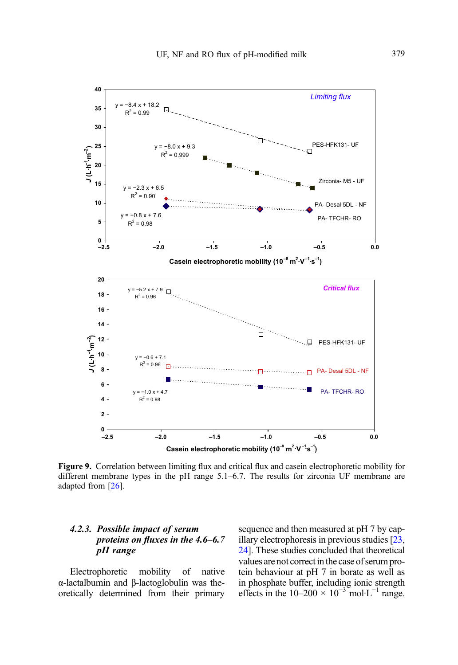<span id="page-16-0"></span>

Figure 9. Correlation between limiting flux and critical flux and casein electrophoretic mobility for different membrane types in the pH range 5.1–6.7. The results for zirconia UF membrane are adapted from [\[26](#page-22-0)].

## 4.2.3. Possible impact of serum proteins on fluxes in the 4.6–6.7 pH range

Electrophoretic mobility of native α-lactalbumin and β-lactoglobulin was theoretically determined from their primary sequence and then measured at pH 7 by capillary electrophoresis in previous studies [[23](#page-22-0), [24](#page-22-0)]. These studies concluded that theoretical values are not correct in the case of serum protein behaviour at pH 7 in borate as well as in phosphate buffer, including ionic strength effects in the  $10-200 \times 10^{-3}$  mol·L<sup>-1</sup> range.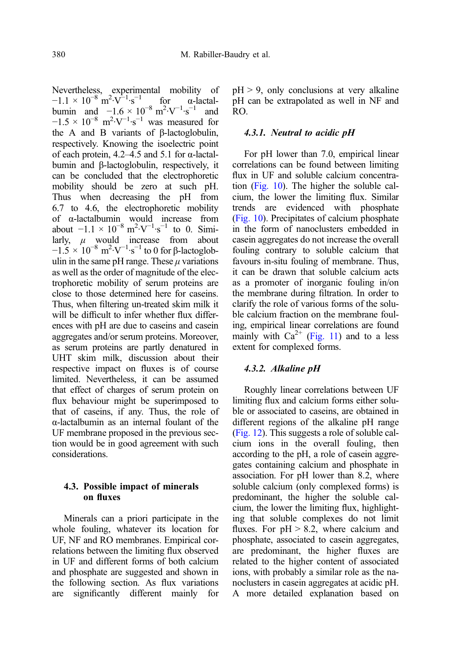Nevertheless, experimental mobility of<br> $-1.1 \times 10^{-8}$  m<sup>2</sup>·V<sup>-1</sup>·s<sup>-1</sup> for a-lactal- $-1.1 \times 10^{-8} \text{ m}^2 \cdot \text{V}^{-1} \cdot \text{s}^{-1}$  for  $\alpha$ -lactalbumin and  $-1.6 \times 10^{-8} \text{ m}^2 \cdot \text{V}^{-1} \cdot \text{s}^{-1}$  and  $-1.5 \times 10^{-8}$  m<sup>2</sup> $\cdot$ V<sup>-1</sup> $\cdot$ s<sup>-1</sup> was measured for the A and B variants of β-lactoglobulin, respectively. Knowing the isoelectric point of each protein, 4.2–4.5 and 5.1 for α-lactalbumin and β-lactoglobulin, respectively, it can be concluded that the electrophoretic mobility should be zero at such pH. Thus when decreasing the pH from 6.7 to 4.6, the electrophoretic mobility of α-lactalbumin would increase from about  $-1.1 \times 10^{-8} \text{ m}^2 \cdot \text{V}^{-1} \cdot \text{s}^{-1}$  to 0. Similarly,  $\mu$  would increase from about  $-1.5 \times 10^{-8}$  m<sup>2</sup> $\cdot$ V<sup>-1</sup> $\cdot$ s<sup>-1</sup> to 0 for β-lactoglobulin in the same pH range. These  $\mu$  variations as well as the order of magnitude of the electrophoretic mobility of serum proteins are close to those determined here for caseins. Thus, when filtering un-treated skim milk it will be difficult to infer whether flux differences with pH are due to caseins and casein aggregates and/or serum proteins. Moreover, as serum proteins are partly denatured in UHT skim milk, discussion about their respective impact on fluxes is of course limited. Nevertheless, it can be assumed that effect of charges of serum protein on flux behaviour might be superimposed to that of caseins, if any. Thus, the role of α-lactalbumin as an internal foulant of the UF membrane proposed in the previous section would be in good agreement with such considerations.

## 4.3. Possible impact of minerals on fluxes

Minerals can a priori participate in the whole fouling, whatever its location for UF, NF and RO membranes. Empirical correlations between the limiting flux observed in UF and different forms of both calcium and phosphate are suggested and shown in the following section. As flux variations are significantly different mainly for  $pH > 9$ , only conclusions at very alkaline pH can be extrapolated as well in NF and  $\overline{R}$ O.

#### 4.3.1. Neutral to acidic pH

For pH lower than 7.0, empirical linear correlations can be found between limiting flux in UF and soluble calcium concentration ([Fig. 10\)](#page-18-0). The higher the soluble calcium, the lower the limiting flux. Similar trends are evidenced with phosphate ([Fig. 10](#page-18-0)). Precipitates of calcium phosphate in the form of nanoclusters embedded in casein aggregates do not increase the overall fouling contrary to soluble calcium that favours in-situ fouling of membrane. Thus, it can be drawn that soluble calcium acts as a promoter of inorganic fouling in/on the membrane during filtration. In order to clarify the role of various forms of the soluble calcium fraction on the membrane fouling, empirical linear correlations are found mainly with  $Ca^{2+}$  ([Fig. 11\)](#page-19-0) and to a less extent for complexed forms.

## 4.3.2. Alkaline pH

Roughly linear correlations between UF limiting flux and calcium forms either soluble or associated to caseins, are obtained in different regions of the alkaline pH range ([Fig. 12\)](#page-19-0). This suggests a role of soluble calcium ions in the overall fouling, then according to the pH, a role of casein aggregates containing calcium and phosphate in association. For pH lower than 8.2, where soluble calcium (only complexed forms) is predominant, the higher the soluble calcium, the lower the limiting flux, highlighting that soluble complexes do not limit fluxes. For  $pH > 8.2$ , where calcium and phosphate, associated to casein aggregates, are predominant, the higher fluxes are related to the higher content of associated ions, with probably a similar role as the nanoclusters in casein aggregates at acidic pH. A more detailed explanation based on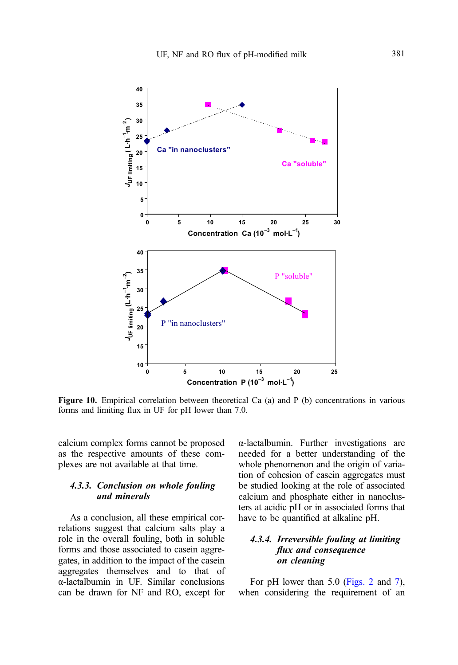<span id="page-18-0"></span>

Figure 10. Empirical correlation between theoretical Ca (a) and P (b) concentrations in various forms and limiting flux in UF for pH lower than 7.0.

calcium complex forms cannot be proposed as the respective amounts of these complexes are not available at that time.

## 4.3.3. Conclusion on whole fouling and minerals

As a conclusion, all these empirical correlations suggest that calcium salts play a role in the overall fouling, both in soluble forms and those associated to casein aggregates, in addition to the impact of the casein aggregates themselves and to that of α-lactalbumin in UF. Similar conclusions can be drawn for NF and RO, except for α-lactalbumin. Further investigations are needed for a better understanding of the whole phenomenon and the origin of variation of cohesion of casein aggregates must be studied looking at the role of associated calcium and phosphate either in nanoclusters at acidic pH or in associated forms that have to be quantified at alkaline pH.

## 4.3.4. Irreversible fouling at limiting flux and consequence on cleaning

For pH lower than 5.0 [\(Figs. 2](#page-7-0) and [7](#page-12-0)), when considering the requirement of an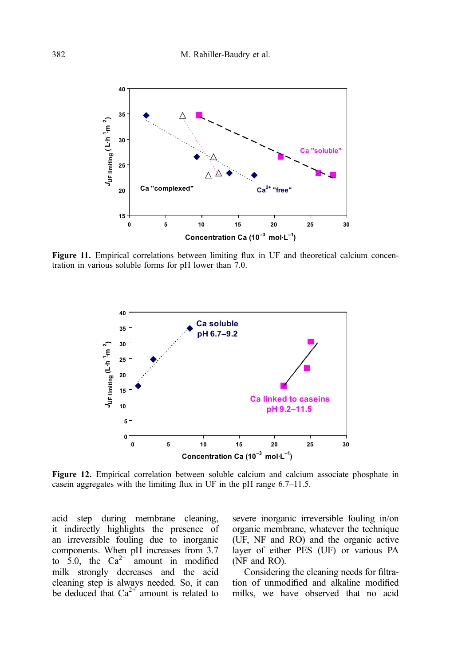<span id="page-19-0"></span>

Figure 11. Empirical correlations between limiting flux in UF and theoretical calcium concentration in various soluble forms for pH lower than 7.0.



Figure 12. Empirical correlation between soluble calcium and calcium associate phosphate in casein aggregates with the limiting flux in UF in the pH range 6.7–11.5.

acid step during membrane cleaning, it indirectly highlights the presence of an irreversible fouling due to inorganic components. When pH increases from 3.7 to  $\bar{5.0}$ , the Ca<sup>2+</sup> amount in modified milk strongly decreases and the acid cleaning step is always needed. So, it can be deduced that  $Ca^{2+}$  amount is related to

severe inorganic irreversible fouling in/on organic membrane, whatever the technique (UF, NF and RO) and the organic active layer of either PES (UF) or various PA (NF and RO).

Considering the cleaning needs for filtration of unmodified and alkaline modified milks, we have observed that no acid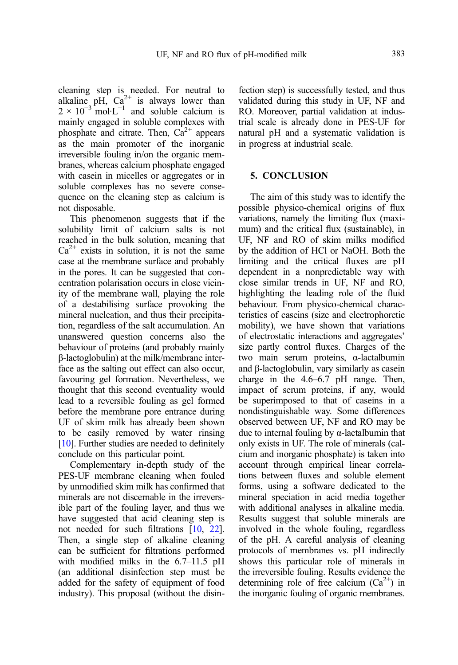cleaning step is needed. For neutral to alkaline pH,  $Ca^{2+}$  is always lower than  $2 \times 10^{-3}$  mol·L<sup>-1</sup> and soluble calcium is mainly engaged in soluble complexes with phosphate and citrate. Then,  $Ca^{2+}$  appears as the main promoter of the inorganic irreversible fouling in/on the organic membranes, whereas calcium phosphate engaged with casein in micelles or aggregates or in soluble complexes has no severe consequence on the cleaning step as calcium is not disposable.

This phenomenon suggests that if the solubility limit of calcium salts is not reached in the bulk solution, meaning that  $Ca^{2+}$  exists in solution, it is not the same case at the membrane surface and probably in the pores. It can be suggested that concentration polarisation occurs in close vicinity of the membrane wall, playing the role of a destabilising surface provoking the mineral nucleation, and thus their precipitation, regardless of the salt accumulation. An unanswered question concerns also the behaviour of proteins (and probably mainly β-lactoglobulin) at the milk/membrane interface as the salting out effect can also occur, favouring gel formation. Nevertheless, we thought that this second eventuality would lead to a reversible fouling as gel formed before the membrane pore entrance during UF of skim milk has already been shown to be easily removed by water rinsing [[10](#page-21-0)]. Further studies are needed to definitely conclude on this particular point.

Complementary in-depth study of the PES-UF membrane cleaning when fouled by unmodified skim milk has confirmed that minerals are not discernable in the irreversible part of the fouling layer, and thus we have suggested that acid cleaning step is not needed for such filtrations [\[10](#page-21-0), [22](#page-22-0)]. Then, a single step of alkaline cleaning can be sufficient for filtrations performed with modified milks in the 6.7–11.5 pH (an additional disinfection step must be added for the safety of equipment of food industry). This proposal (without the disinfection step) is successfully tested, and thus validated during this study in UF, NF and RO. Moreover, partial validation at industrial scale is already done in PES-UF for natural pH and a systematic validation is in progress at industrial scale.

## 5. CONCLUSION

The aim of this study was to identify the possible physico-chemical origins of flux variations, namely the limiting flux (maximum) and the critical flux (sustainable), in UF, NF and RO of skim milks modified by the addition of HCl or NaOH. Both the limiting and the critical fluxes are pH dependent in a nonpredictable way with close similar trends in UF, NF and RO, highlighting the leading role of the fluid behaviour. From physico-chemical characteristics of caseins (size and electrophoretic mobility), we have shown that variations of electrostatic interactions and aggregates' size partly control fluxes. Charges of the two main serum proteins, α-lactalbumin and β-lactoglobulin, vary similarly as casein charge in the 4.6–6.7 pH range. Then, impact of serum proteins, if any, would be superimposed to that of caseins in a nondistinguishable way. Some differences observed between UF, NF and RO may be due to internal fouling by α-lactalbumin that only exists in UF. The role of minerals (calcium and inorganic phosphate) is taken into account through empirical linear correlations between fluxes and soluble element forms, using a software dedicated to the mineral speciation in acid media together with additional analyses in alkaline media. Results suggest that soluble minerals are involved in the whole fouling, regardless of the pH. A careful analysis of cleaning protocols of membranes vs. pH indirectly shows this particular role of minerals in the irreversible fouling. Results evidence the determining role of free calcium  $(Ca^{2+})$  in the inorganic fouling of organic membranes.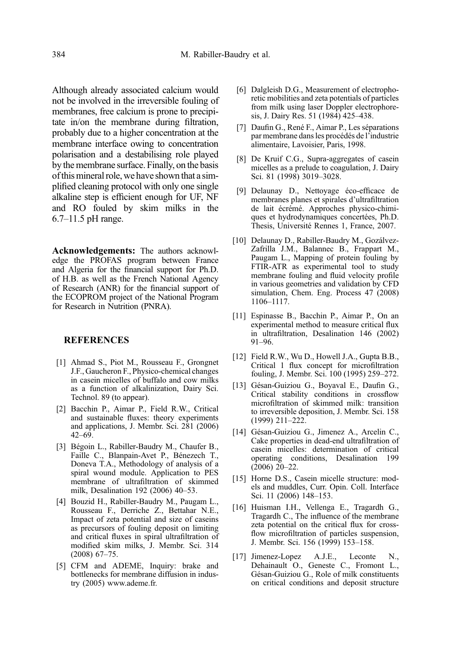<span id="page-21-0"></span>Although already associated calcium would not be involved in the irreversible fouling of membranes, free calcium is prone to precipitate in/on the membrane during filtration, probably due to a higher concentration at the membrane interface owing to concentration polarisation and a destabilising role played by the membrane surface. Finally, on the basis of this mineral role, we have shown that a simplified cleaning protocol with only one single alkaline step is efficient enough for UF, NF and RO fouled by skim milks in the 6.7–11.5 pH range.

Acknowledgements: The authors acknowledge the PROFAS program between France and Algeria for the financial support for Ph.D. of H.B. as well as the French National Agency of Research (ANR) for the financial support of the ECOPROM project of the National Program for Research in Nutrition (PNRA).

## **REFERENCES**

- [1] Ahmad S., Piot M., Rousseau F., Grongnet J.F., Gaucheron F., Physico-chemical changes in casein micelles of buffalo and cow milks as a function of alkalinization, Dairy Sci. Technol. 89 (to appear).
- [2] Bacchin P., Aimar P., Field R.W., Critical and sustainable fluxes: theory experiments and applications, J. Membr. Sci. 281 (2006) 42–69.
- [3] Bégoin L., Rabiller-Baudry M., Chaufer B., Faille C., Blanpain-Avet P., Bénezech T., Doneva T.A., Methodology of analysis of a spiral wound module. Application to PES membrane of ultrafiltration of skimmed milk, Desalination 192 (2006) 40–53.
- [4] Bouzid H., Rabiller-Baudry M., Paugam L., Rousseau F., Derriche Z., Bettahar N.E., Impact of zeta potential and size of caseins as precursors of fouling deposit on limiting and critical fluxes in spiral ultrafiltration of modified skim milks, J. Membr. Sci. 314 (2008) 67–75.
- [5] CFM and ADEME, Inquiry: brake and bottlenecks for membrane diffusion in industry (2005) www.ademe.fr.
- [6] Dalgleish D.G., Measurement of electrophoretic mobilities and zeta potentials of particles from milk using laser Doppler electrophoresis, J. Dairy Res. 51 (1984) 425–438.
- [7] Daufin G., René F., Aimar P., Les séparations par membrane dans les procédés de l'industrie alimentaire, Lavoisier, Paris, 1998.
- [8] De Kruif C.G., Supra-aggregates of casein micelles as a prelude to coagulation, J. Dairy Sci. 81 (1998) 3019–3028.
- [9] Delaunay D., Nettoyage éco-efficace de membranes planes et spirales d'ultrafiltration de lait écrémé. Approches physico-chimiques et hydrodynamiques concertées, Ph.D. Thesis, Université Rennes 1, France, 2007.
- [10] Delaunay D., Rabiller-Baudry M., Gozálvez-Zafrilla J.M., Balannec B., Frappart M., Paugam L., Mapping of protein fouling by FTIR-ATR as experimental tool to study membrane fouling and fluid velocity profile in various geometries and validation by CFD simulation, Chem. Eng. Process 47 (2008) 1106–1117.
- [11] Espinasse B., Bacchin P., Aimar P., On an experimental method to measure critical flux in ultrafiltration, Desalination 146 (2002) 91–96.
- [12] Field R.W., Wu D., Howell J.A., Gupta B.B., Critical 1 flux concept for microfiltration fouling, J. Membr. Sci. 100 (1995) 259–272.
- [13] Gésan-Guiziou G., Boyaval E., Daufin G., Critical stability conditions in crossflow microfiltration of skimmed milk: transition to irreversible deposition, J. Membr. Sci. 158 (1999) 211–222.
- [14] Gésan-Guiziou G., Jimenez A., Arcelin C., Cake properties in dead-end ultrafiltration of casein micelles: determination of critical operating conditions, Desalination 199 (2006) 20–22.
- [15] Horne D.S., Casein micelle structure: models and muddles, Curr. Opin. Coll. Interface Sci. 11 (2006) 148–153.
- [16] Huisman I.H., Vellenga E., Tragardh G., Tragardh C., The influence of the membrane zeta potential on the critical flux for crossflow microfiltration of particles suspension, J. Membr. Sci. 156 (1999) 153–158.
- [17] Jimenez-Lopez A.J.E., Leconte N., Dehainault O., Geneste C., Fromont L., Gésan-Guiziou G., Role of milk constituents on critical conditions and deposit structure